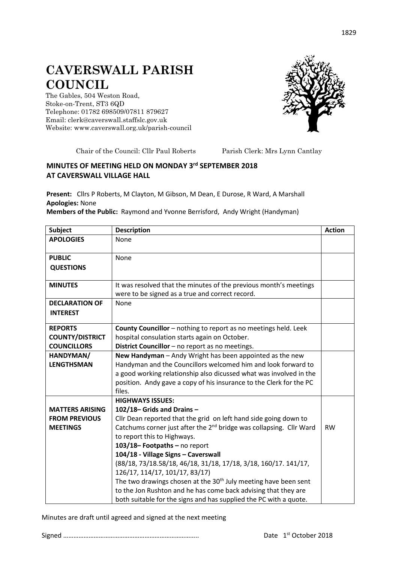## **CAVERSWALL PARISH COUNCIL**

The Gables, 504 Weston Road, Stoke-on-Trent, ST3 6QD Telephone: 01782 698509/07811 879627 Email: clerk@caverswall.staffslc.gov.uk Website: [www.c](http://www.dilhorneparishcouncil.co.uk/)averswall.org.uk/parish-council



Chair of the Council: Cllr Paul Roberts Parish Clerk: Mrs Lynn Cantlay

## **MINUTES OF MEETING HELD ON MONDAY 3 rd SEPTEMBER 2018 AT CAVERSWALL VILLAGE HALL**

**Present:** Cllrs P Roberts, M Clayton, M Gibson, M Dean, E Durose, R Ward, A Marshall **Apologies:** None

**Members of the Public:** Raymond and Yvonne Berrisford, Andy Wright (Handyman)

| <b>Subject</b>                               | <b>Description</b>                                                                                                        | <b>Action</b> |
|----------------------------------------------|---------------------------------------------------------------------------------------------------------------------------|---------------|
| <b>APOLOGIES</b>                             | None                                                                                                                      |               |
|                                              |                                                                                                                           |               |
| <b>PUBLIC</b>                                | None                                                                                                                      |               |
| <b>QUESTIONS</b>                             |                                                                                                                           |               |
|                                              |                                                                                                                           |               |
| <b>MINUTES</b>                               | It was resolved that the minutes of the previous month's meetings                                                         |               |
|                                              | were to be signed as a true and correct record.                                                                           |               |
| <b>DECLARATION OF</b>                        | None                                                                                                                      |               |
| <b>INTEREST</b>                              |                                                                                                                           |               |
|                                              |                                                                                                                           |               |
| <b>REPORTS</b>                               | County Councillor - nothing to report as no meetings held. Leek                                                           |               |
| <b>COUNTY/DISTRICT</b><br><b>COUNCILLORS</b> | hospital consulation starts again on October.<br>District Councillor - no report as no meetings.                          |               |
|                                              |                                                                                                                           |               |
| HANDYMAN/<br><b>LENGTHSMAN</b>               | New Handyman - Andy Wright has been appointed as the new<br>Handyman and the Councillors welcomed him and look forward to |               |
|                                              | a good working relationship also dicussed what was involved in the                                                        |               |
|                                              | position. Andy gave a copy of his insurance to the Clerk for the PC                                                       |               |
|                                              | files.                                                                                                                    |               |
|                                              | <b>HIGHWAYS ISSUES:</b>                                                                                                   |               |
| <b>MATTERS ARISING</b>                       | 102/18-Grids and Drains-                                                                                                  |               |
| <b>FROM PREVIOUS</b>                         | Cllr Dean reported that the grid on left hand side going down to                                                          |               |
| <b>MEETINGS</b>                              | Catchums corner just after the 2 <sup>nd</sup> bridge was collapsing. Cllr Ward                                           | <b>RW</b>     |
|                                              | to report this to Highways.                                                                                               |               |
|                                              | 103/18-Footpaths - no report                                                                                              |               |
|                                              | 104/18 - Village Signs - Caverswall                                                                                       |               |
|                                              | (88/18, 73/18.58/18, 46/18, 31/18, 17/18, 3/18, 160/17. 141/17,                                                           |               |
|                                              | 126/17, 114/17, 101/17, 83/17)                                                                                            |               |
|                                              | The two drawings chosen at the 30 <sup>th</sup> July meeting have been sent                                               |               |
|                                              | to the Jon Rushton and he has come back advising that they are                                                            |               |
|                                              | both suitable for the signs and has supplied the PC with a quote.                                                         |               |

Minutes are draft until agreed and signed at the next meeting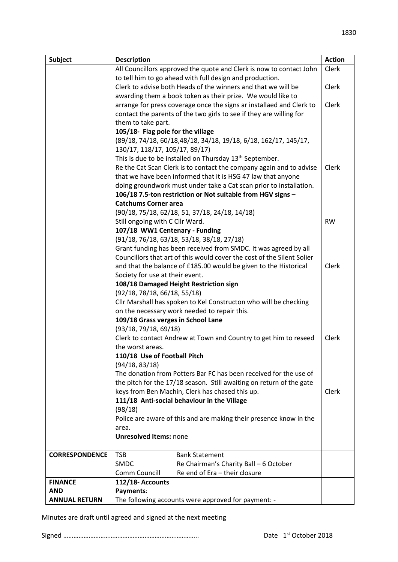| Subject               | <b>Description</b>                                                     | <b>Action</b> |
|-----------------------|------------------------------------------------------------------------|---------------|
|                       | All Councillors approved the quote and Clerk is now to contact John    | Clerk         |
|                       | to tell him to go ahead with full design and production.               |               |
|                       | Clerk to advise both Heads of the winners and that we will be          | Clerk         |
|                       | awarding them a book token as their prize. We would like to            |               |
|                       | arrange for press coverage once the signs ar installaed and Clerk to   | Clerk         |
|                       | contact the parents of the two girls to see if they are willing for    |               |
|                       | them to take part.                                                     |               |
|                       | 105/18- Flag pole for the village                                      |               |
|                       | (89/18, 74/18, 60/18, 48/18, 34/18, 19/18, 6/18, 162/17, 145/17,       |               |
|                       | 130/17, 118/17, 105/17, 89/17)                                         |               |
|                       | This is due to be installed on Thursday 13 <sup>th</sup> September.    |               |
|                       | Re the Cat Scan Clerk is to contact the company again and to advise    | Clerk         |
|                       | that we have been informed that it is HSG 47 law that anyone           |               |
|                       | doing groundwork must under take a Cat scan prior to installation.     |               |
|                       | 106/18 7.5-ton restriction or Not suitable from HGV signs -            |               |
|                       | <b>Catchums Corner area</b>                                            |               |
|                       | (90/18, 75/18, 62/18, 51, 37/18, 24/18, 14/18)                         |               |
|                       | Still ongoing with C Cllr Ward.                                        | <b>RW</b>     |
|                       | 107/18 WW1 Centenary - Funding                                         |               |
|                       | $(91/18, 76/18, 63/18, 53/18, 38/18, 27/18)$                           |               |
|                       | Grant funding has been received from SMDC. It was agreed by all        |               |
|                       | Councillors that art of this would cover the cost of the Silent Solier |               |
|                       | and that the balance of £185.00 would be given to the Historical       | Clerk         |
|                       | Society for use at their event.                                        |               |
|                       | 108/18 Damaged Height Restriction sign<br>(92/18, 78/18, 66/18, 55/18) |               |
|                       | Cllr Marshall has spoken to Kel Constructon who will be checking       |               |
|                       | on the necessary work needed to repair this.                           |               |
|                       | 109/18 Grass verges in School Lane                                     |               |
|                       | (93/18, 79/18, 69/18)                                                  |               |
|                       | Clerk to contact Andrew at Town and Country to get him to reseed       | Clerk         |
|                       | the worst areas.                                                       |               |
|                       | 110/18 Use of Football Pitch                                           |               |
|                       | (94/18, 83/18)                                                         |               |
|                       | The donation from Potters Bar FC has been received for the use of      |               |
|                       | the pitch for the 17/18 season. Still awaiting on return of the gate   |               |
|                       | keys from Ben Machin, Clerk has chased this up.                        | Clerk         |
|                       | 111/18 Anti-social behaviour in the Village                            |               |
|                       | (98/18)                                                                |               |
|                       | Police are aware of this and are making their presence know in the     |               |
|                       | area.                                                                  |               |
|                       | <b>Unresolved Items: none</b>                                          |               |
|                       |                                                                        |               |
| <b>CORRESPONDENCE</b> | <b>TSB</b><br><b>Bank Statement</b>                                    |               |
|                       | <b>SMDC</b><br>Re Chairman's Charity Ball - 6 October                  |               |
|                       | Re end of Era - their closure<br>Comm Councill                         |               |
| <b>FINANCE</b>        | 112/18-Accounts                                                        |               |
| <b>AND</b>            | Payments:                                                              |               |
| <b>ANNUAL RETURN</b>  | The following accounts were approved for payment: -                    |               |

Minutes are draft until agreed and signed at the next meeting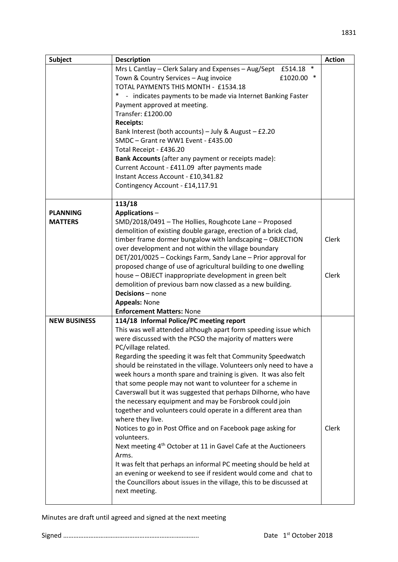| Subject             | <b>Description</b>                                                                                          | <b>Action</b> |
|---------------------|-------------------------------------------------------------------------------------------------------------|---------------|
|                     | $\ast$<br>Mrs L Cantlay - Clerk Salary and Expenses - Aug/Sept £514.18                                      |               |
|                     | Town & Country Services - Aug invoice<br>£1020.00 *                                                         |               |
|                     | TOTAL PAYMENTS THIS MONTH - £1534.18                                                                        |               |
|                     | $\ast$<br>- indicates payments to be made via Internet Banking Faster                                       |               |
|                     | Payment approved at meeting.                                                                                |               |
|                     | Transfer: £1200.00                                                                                          |               |
|                     | <b>Receipts:</b>                                                                                            |               |
|                     | Bank Interest (both accounts) - July & August $-$ £2.20<br>SMDC - Grant re WW1 Event - £435.00              |               |
|                     |                                                                                                             |               |
|                     | Total Receipt - £436.20<br>Bank Accounts (after any payment or receipts made):                              |               |
|                     | Current Account - £411.09 after payments made                                                               |               |
|                     | Instant Access Account - £10,341.82                                                                         |               |
|                     | Contingency Account - £14,117.91                                                                            |               |
|                     |                                                                                                             |               |
|                     | 113/18                                                                                                      |               |
| <b>PLANNING</b>     | Applications-                                                                                               |               |
| <b>MATTERS</b>      | SMD/2018/0491 - The Hollies, Roughcote Lane - Proposed                                                      |               |
|                     | demolition of existing double garage, erection of a brick clad,                                             |               |
|                     | timber frame dormer bungalow with landscaping - OBJECTION                                                   | <b>Clerk</b>  |
|                     | over development and not within the village boundary                                                        |               |
|                     | DET/201/0025 - Cockings Farm, Sandy Lane - Prior approval for                                               |               |
|                     | proposed change of use of agricultural building to one dwelling                                             |               |
|                     | house - OBJECT inappropriate development in green belt                                                      | <b>Clerk</b>  |
|                     | demolition of previous barn now classed as a new building.                                                  |               |
|                     | <b>Decisions</b> – none                                                                                     |               |
|                     | <b>Appeals: None</b>                                                                                        |               |
| <b>NEW BUSINESS</b> | <b>Enforcement Matters: None</b>                                                                            |               |
|                     | 114/18 Informal Police/PC meeting report<br>This was well attended although apart form speeding issue which |               |
|                     | were discussed with the PCSO the majority of matters were                                                   |               |
|                     | PC/village related.                                                                                         |               |
|                     | Regarding the speeding it was felt that Community Speedwatch                                                |               |
|                     | should be reinstated in the village. Volunteers only need to have a                                         |               |
|                     | week hours a month spare and training is given. It was also felt                                            |               |
|                     | that some people may not want to volunteer for a scheme in                                                  |               |
|                     | Caverswall but it was suggested that perhaps Dilhorne, who have                                             |               |
|                     | the necessary equipment and may be Forsbrook could join                                                     |               |
|                     | together and volunteers could operate in a different area than                                              |               |
|                     | where they live.                                                                                            |               |
|                     | Notices to go in Post Office and on Facebook page asking for                                                | Clerk         |
|                     | volunteers.                                                                                                 |               |
|                     | Next meeting 4 <sup>th</sup> October at 11 in Gavel Cafe at the Auctioneers                                 |               |
|                     | Arms.                                                                                                       |               |
|                     | It was felt that perhaps an informal PC meeting should be held at                                           |               |
|                     | an evening or weekend to see if resident would come and chat to                                             |               |
|                     | the Councillors about issues in the village, this to be discussed at                                        |               |
|                     | next meeting.                                                                                               |               |
|                     |                                                                                                             |               |

Minutes are draft until agreed and signed at the next meeting